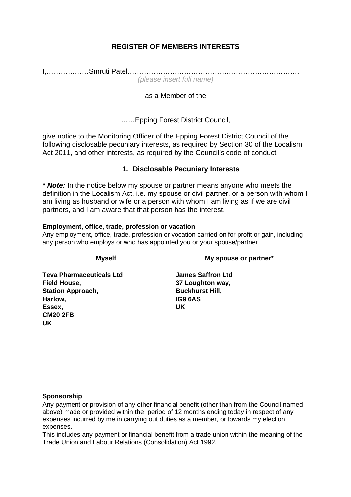# **REGISTER OF MEMBERS INTERESTS**

I,………………Smruti Patel………………………………………………………………. *(please insert full name)* 

## as a Member of the

……Epping Forest District Council,

give notice to the Monitoring Officer of the Epping Forest District Council of the following disclosable pecuniary interests, as required by Section 30 of the Localism Act 2011, and other interests, as required by the Council's code of conduct.

## **1. Disclosable Pecuniary Interests**

*\* Note:* In the notice below my spouse or partner means anyone who meets the definition in the Localism Act, i.e. my spouse or civil partner, or a person with whom I am living as husband or wife or a person with whom I am living as if we are civil partners, and I am aware that that person has the interest.

#### **Employment, office, trade, profession or vacation**

Any employment, office, trade, profession or vocation carried on for profit or gain, including any person who employs or who has appointed you or your spouse/partner

| <b>Teva Pharmaceuticals Ltd</b><br><b>James Saffron Ltd</b><br>37 Loughton way,<br><b>Field House,</b><br><b>Buckhurst Hill,</b><br><b>Station Approach,</b><br><b>IG9 6AS</b><br>Harlow,<br><b>UK</b><br>Essex,<br><b>CM20 2FB</b><br><b>UK</b> | My spouse or partner* |
|--------------------------------------------------------------------------------------------------------------------------------------------------------------------------------------------------------------------------------------------------|-----------------------|
|                                                                                                                                                                                                                                                  |                       |
|                                                                                                                                                                                                                                                  |                       |

#### **Sponsorship**

Any payment or provision of any other financial benefit (other than from the Council named above) made or provided within the period of 12 months ending today in respect of any expenses incurred by me in carrying out duties as a member, or towards my election expenses.

This includes any payment or financial benefit from a trade union within the meaning of the Trade Union and Labour Relations (Consolidation) Act 1992.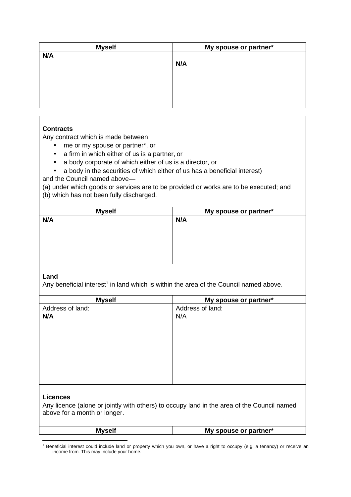| <b>Myself</b> | My spouse or partner* |
|---------------|-----------------------|
| N/A           |                       |
|               | N/A                   |
|               |                       |
|               |                       |
|               |                       |
|               |                       |
|               |                       |

## **Contracts**

Any contract which is made between

- me or my spouse or partner\*, or
- a firm in which either of us is a partner, or
- a body corporate of which either of us is a director, or
- a body in the securities of which either of us has a beneficial interest)

and the Council named above—

(a) under which goods or services are to be provided or works are to be executed; and (b) which has not been fully discharged.

| <b>Myself</b> | My spouse or partner* |
|---------------|-----------------------|
| N/A           | N/A                   |
|               |                       |
|               |                       |
|               |                       |
|               |                       |
|               |                       |
|               |                       |

#### **Land**

Any beneficial interest<sup>1</sup> in land which is within the area of the Council named above.

| <b>Myself</b>    | My spouse or partner* |
|------------------|-----------------------|
| Address of land: | Address of land:      |
| N/A              | N/A                   |
|                  |                       |
|                  |                       |
|                  |                       |
|                  |                       |
|                  |                       |
|                  |                       |
|                  |                       |
|                  |                       |
| Liconcoc         |                       |

#### **Licences**

Any licence (alone or jointly with others) to occupy land in the area of the Council named above for a month or longer.

| <b>Myself</b> | My spouse or partner* |
|---------------|-----------------------|
|---------------|-----------------------|

<sup>1</sup> Beneficial interest could include land or property which you own, or have a right to occupy (e.g. a tenancy) or receive an income from. This may include your home.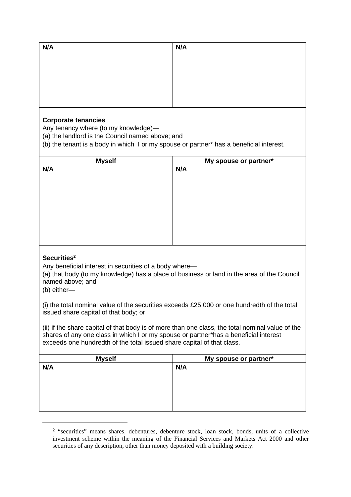| N/A | N/A |
|-----|-----|
|     |     |
|     |     |
|     |     |
|     |     |
|     |     |
|     |     |

## **Corporate tenancies**

Any tenancy where (to my knowledge)—

(a) the landlord is the Council named above; and

(b) the tenant is a body in which I or my spouse or partner\* has a beneficial interest.

| <b>Myself</b> | My spouse or partner* |
|---------------|-----------------------|
| N/A           | N/A                   |
|               |                       |
|               |                       |
|               |                       |
|               |                       |
|               |                       |
|               |                       |
|               |                       |
|               |                       |
|               |                       |

## **Securities<sup>2</sup>**

Any beneficial interest in securities of a body where—

(a) that body (to my knowledge) has a place of business or land in the area of the Council named above; and

(b) either—

(i) the total nominal value of the securities exceeds £25,000 or one hundredth of the total issued share capital of that body; or

(ii) if the share capital of that body is of more than one class, the total nominal value of the shares of any one class in which I or my spouse or partner\*has a beneficial interest exceeds one hundredth of the total issued share capital of that class.

| <b>Myself</b> | My spouse or partner* |
|---------------|-----------------------|
| N/A           | N/A                   |
|               |                       |
|               |                       |
|               |                       |
|               |                       |
|               |                       |
|               |                       |

<sup>&</sup>lt;sup>2</sup> "securities" means shares, debentures, debenture stock, loan stock, bonds, units of a collective investment scheme within the meaning of the Financial Services and Markets Act 2000 and other securities of any description, other than money deposited with a building society.